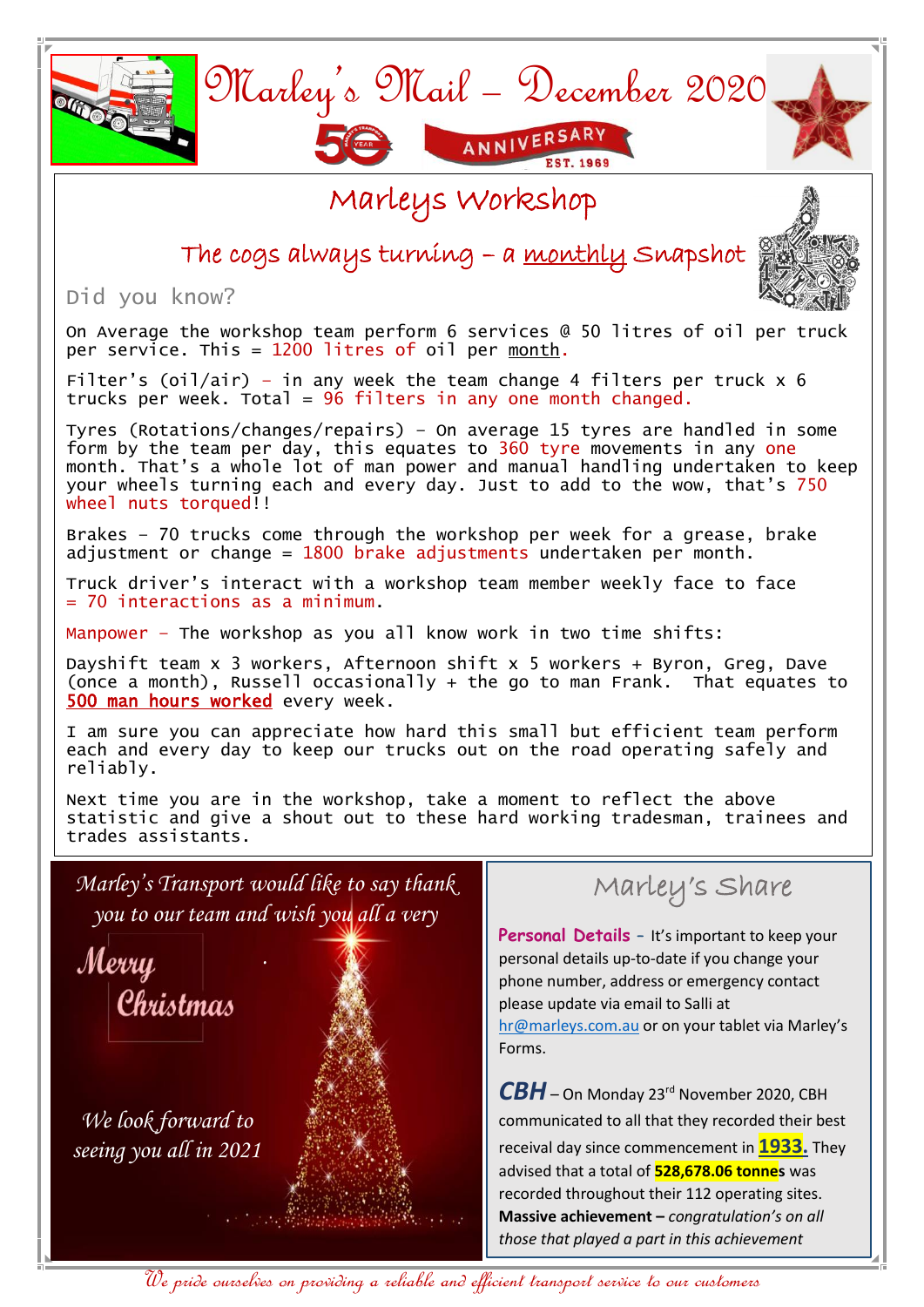

We pride ourselves on providing a reliable and efficient transport service to our customers